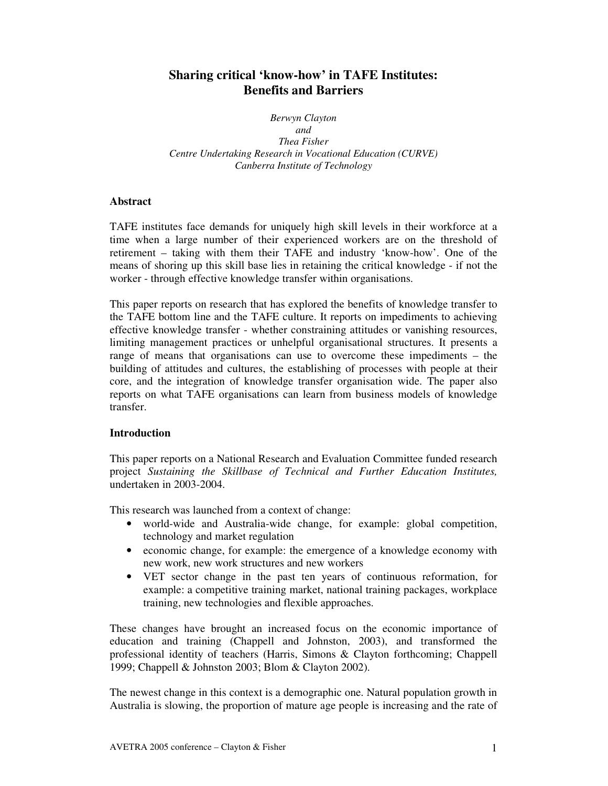# **Sharing critical 'know-how' in TAFE Institutes: Benefits and Barriers**

*Berwyn Clayton and Thea Fisher Centre Undertaking Research in Vocational Education (CURVE) Canberra Institute of Technology*

# **Abstract**

TAFE institutes face demands for uniquely high skill levels in their workforce at a time when a large number of their experienced workers are on the threshold of retirement – taking with them their TAFE and industry 'know-how'. One of the means of shoring up this skill base lies in retaining the critical knowledge - if not the worker - through effective knowledge transfer within organisations.

This paper reports on research that has explored the benefits of knowledge transfer to the TAFE bottom line and the TAFE culture. It reports on impediments to achieving effective knowledge transfer - whether constraining attitudes or vanishing resources, limiting management practices or unhelpful organisational structures. It presents a range of means that organisations can use to overcome these impediments – the building of attitudes and cultures, the establishing of processes with people at their core, and the integration of knowledge transfer organisation wide. The paper also reports on what TAFE organisations can learn from business models of knowledge transfer.

### **Introduction**

This paper reports on a National Research and Evaluation Committee funded research project *Sustaining the Skillbase of Technical and Further Education Institutes,* undertaken in 2003-2004.

This research was launched from a context of change:

- world-wide and Australia-wide change, for example: global competition, technology and market regulation
- economic change, for example: the emergence of a knowledge economy with new work, new work structures and new workers
- VET sector change in the past ten years of continuous reformation, for example: a competitive training market, national training packages, workplace training, new technologies and flexible approaches.

These changes have brought an increased focus on the economic importance of education and training (Chappell and Johnston, 2003), and transformed the professional identity of teachers (Harris, Simons & Clayton forthcoming; Chappell 1999; Chappell & Johnston 2003; Blom & Clayton 2002).

The newest change in this context is a demographic one. Natural population growth in Australia is slowing, the proportion of mature age people is increasing and the rate of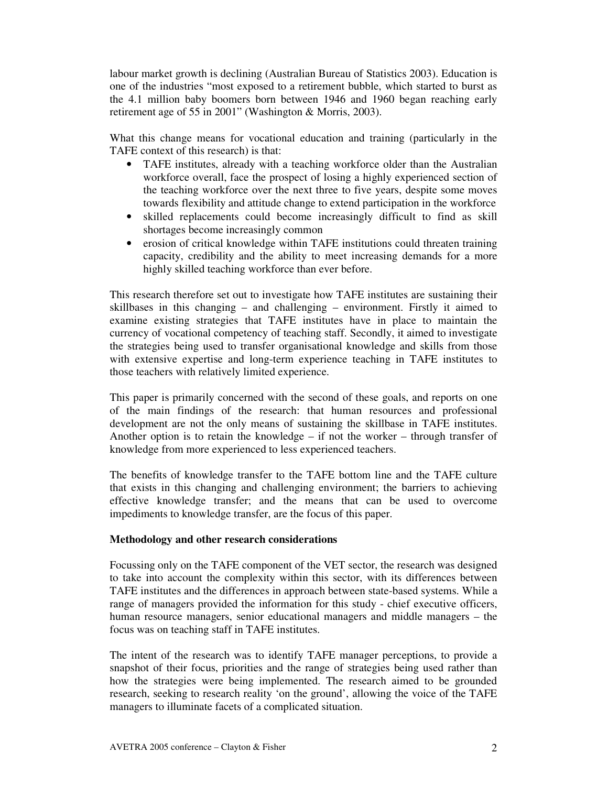labour market growth is declining (Australian Bureau of Statistics 2003). Education is one of the industries "most exposed to a retirement bubble, which started to burst as the 4.1 million baby boomers born between 1946 and 1960 began reaching early retirement age of 55 in 2001" (Washington & Morris, 2003).

What this change means for vocational education and training (particularly in the TAFE context of this research) is that:

- TAFE institutes, already with a teaching workforce older than the Australian workforce overall, face the prospect of losing a highly experienced section of the teaching workforce over the next three to five years, despite some moves towards flexibility and attitude change to extend participation in the workforce
- skilled replacements could become increasingly difficult to find as skill shortages become increasingly common
- erosion of critical knowledge within TAFE institutions could threaten training capacity, credibility and the ability to meet increasing demands for a more highly skilled teaching workforce than ever before.

This research therefore set out to investigate how TAFE institutes are sustaining their skillbases in this changing – and challenging – environment. Firstly it aimed to examine existing strategies that TAFE institutes have in place to maintain the currency of vocational competency of teaching staff. Secondly, it aimed to investigate the strategies being used to transfer organisational knowledge and skills from those with extensive expertise and long-term experience teaching in TAFE institutes to those teachers with relatively limited experience.

This paper is primarily concerned with the second of these goals, and reports on one of the main findings of the research: that human resources and professional development are not the only means of sustaining the skillbase in TAFE institutes. Another option is to retain the knowledge – if not the worker – through transfer of knowledge from more experienced to less experienced teachers.

The benefits of knowledge transfer to the TAFE bottom line and the TAFE culture that exists in this changing and challenging environment; the barriers to achieving effective knowledge transfer; and the means that can be used to overcome impediments to knowledge transfer, are the focus of this paper.

#### **Methodology and other research considerations**

Focussing only on the TAFE component of the VET sector, the research was designed to take into account the complexity within this sector, with its differences between TAFE institutes and the differences in approach between state-based systems. While a range of managers provided the information for this study - chief executive officers, human resource managers, senior educational managers and middle managers – the focus was on teaching staff in TAFE institutes.

The intent of the research was to identify TAFE manager perceptions, to provide a snapshot of their focus, priorities and the range of strategies being used rather than how the strategies were being implemented. The research aimed to be grounded research, seeking to research reality 'on the ground', allowing the voice of the TAFE managers to illuminate facets of a complicated situation.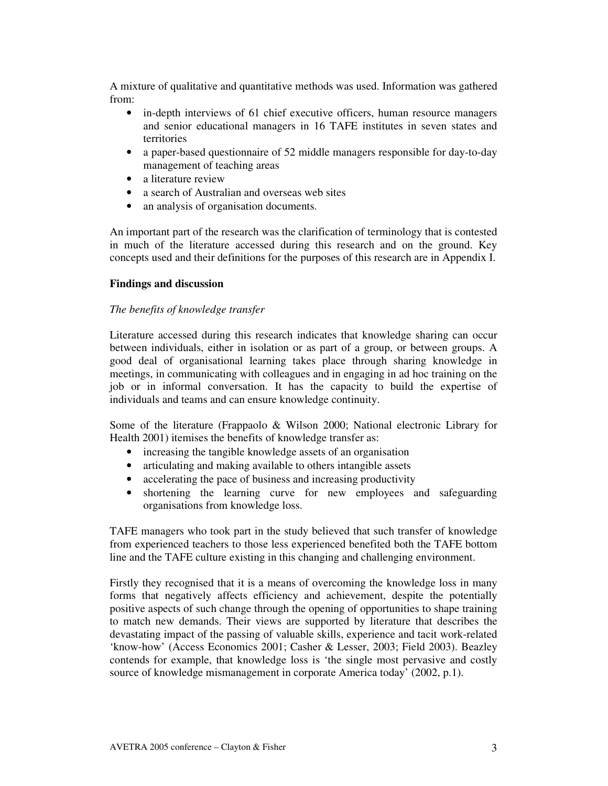A mixture of qualitative and quantitative methods was used. Information was gathered from:

- in-depth interviews of 61 chief executive officers, human resource managers and senior educational managers in 16 TAFE institutes in seven states and territories
- a paper-based questionnaire of 52 middle managers responsible for day-to-day management of teaching areas
- a literature review
- a search of Australian and overseas web sites
- an analysis of organisation documents.

An important part of the research was the clarification of terminology that is contested in much of the literature accessed during this research and on the ground. Key concepts used and their definitions for the purposes of this research are in Appendix I.

#### **Findings and discussion**

#### *The benefits of knowledge transfer*

Literature accessed during this research indicates that knowledge sharing can occur between individuals, either in isolation or as part of a group, or between groups. A good deal of organisational learning takes place through sharing knowledge in meetings, in communicating with colleagues and in engaging in ad hoc training on the job or in informal conversation. It has the capacity to build the expertise of individuals and teams and can ensure knowledge continuity.

Some of the literature (Frappaolo & Wilson 2000; National electronic Library for Health 2001) itemises the benefits of knowledge transfer as:

- increasing the tangible knowledge assets of an organisation
- articulating and making available to others intangible assets
- accelerating the pace of business and increasing productivity
- shortening the learning curve for new employees and safeguarding organisations from knowledge loss.

TAFE managers who took part in the study believed that such transfer of knowledge from experienced teachers to those less experienced benefited both the TAFE bottom line and the TAFE culture existing in this changing and challenging environment.

Firstly they recognised that it is a means of overcoming the knowledge loss in many forms that negatively affects efficiency and achievement, despite the potentially positive aspects of such change through the opening of opportunities to shape training to match new demands. Their views are supported by literature that describes the devastating impact of the passing of valuable skills, experience and tacit work-related 'know-how' (Access Economics 2001; Casher & Lesser, 2003; Field 2003). Beazley contends for example, that knowledge loss is 'the single most pervasive and costly source of knowledge mismanagement in corporate America today' (2002, p.1).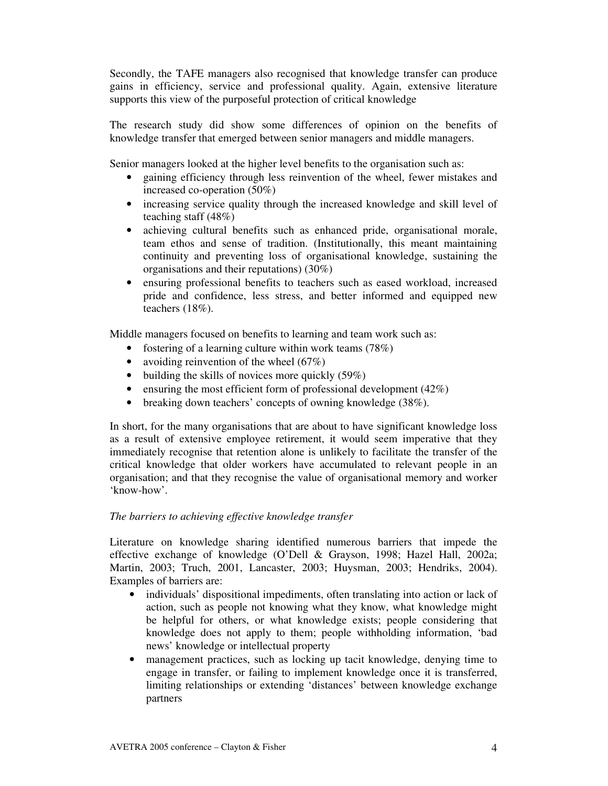Secondly, the TAFE managers also recognised that knowledge transfer can produce gains in efficiency, service and professional quality. Again, extensive literature supports this view of the purposeful protection of critical knowledge

The research study did show some differences of opinion on the benefits of knowledge transfer that emerged between senior managers and middle managers.

Senior managers looked at the higher level benefits to the organisation such as:

- gaining efficiency through less reinvention of the wheel, fewer mistakes and increased co-operation (50%)
- increasing service quality through the increased knowledge and skill level of teaching staff (48%)
- achieving cultural benefits such as enhanced pride, organisational morale, team ethos and sense of tradition. (Institutionally, this meant maintaining continuity and preventing loss of organisational knowledge, sustaining the organisations and their reputations) (30%)
- ensuring professional benefits to teachers such as eased workload, increased pride and confidence, less stress, and better informed and equipped new teachers (18%).

Middle managers focused on benefits to learning and team work such as:

- fostering of a learning culture within work teams  $(78%)$
- avoiding reinvention of the wheel  $(67\%)$
- building the skills of novices more quickly  $(59\%)$
- ensuring the most efficient form of professional development  $(42\%)$
- breaking down teachers' concepts of owning knowledge (38%).

In short, for the many organisations that are about to have significant knowledge loss as a result of extensive employee retirement, it would seem imperative that they immediately recognise that retention alone is unlikely to facilitate the transfer of the critical knowledge that older workers have accumulated to relevant people in an organisation; and that they recognise the value of organisational memory and worker 'know-how'.

### *The barriers to achieving effective knowledge transfer*

Literature on knowledge sharing identified numerous barriers that impede the effective exchange of knowledge (O'Dell & Grayson, 1998; Hazel Hall, 2002a; Martin, 2003; Truch, 2001, Lancaster, 2003; Huysman, 2003; Hendriks, 2004). Examples of barriers are:

- individuals' dispositional impediments, often translating into action or lack of action, such as people not knowing what they know, what knowledge might be helpful for others, or what knowledge exists; people considering that knowledge does not apply to them; people withholding information, 'bad news' knowledge or intellectual property
- management practices, such as locking up tacit knowledge, denying time to engage in transfer, or failing to implement knowledge once it is transferred, limiting relationships or extending 'distances' between knowledge exchange partners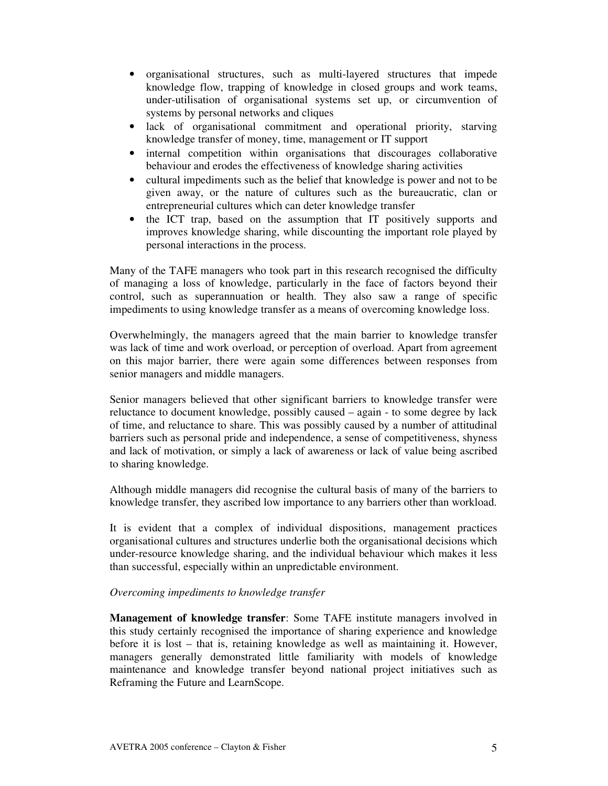- organisational structures, such as multi-layered structures that impede knowledge flow, trapping of knowledge in closed groups and work teams, under-utilisation of organisational systems set up, or circumvention of systems by personal networks and cliques
- lack of organisational commitment and operational priority, starving knowledge transfer of money, time, management or IT support
- internal competition within organisations that discourages collaborative behaviour and erodes the effectiveness of knowledge sharing activities
- cultural impediments such as the belief that knowledge is power and not to be given away, or the nature of cultures such as the bureaucratic, clan or entrepreneurial cultures which can deter knowledge transfer
- the ICT trap, based on the assumption that IT positively supports and improves knowledge sharing, while discounting the important role played by personal interactions in the process.

Many of the TAFE managers who took part in this research recognised the difficulty of managing a loss of knowledge, particularly in the face of factors beyond their control, such as superannuation or health. They also saw a range of specific impediments to using knowledge transfer as a means of overcoming knowledge loss.

Overwhelmingly, the managers agreed that the main barrier to knowledge transfer was lack of time and work overload, or perception of overload. Apart from agreement on this major barrier, there were again some differences between responses from senior managers and middle managers.

Senior managers believed that other significant barriers to knowledge transfer were reluctance to document knowledge, possibly caused – again - to some degree by lack of time, and reluctance to share. This was possibly caused by a number of attitudinal barriers such as personal pride and independence, a sense of competitiveness, shyness and lack of motivation, or simply a lack of awareness or lack of value being ascribed to sharing knowledge.

Although middle managers did recognise the cultural basis of many of the barriers to knowledge transfer, they ascribed low importance to any barriers other than workload.

It is evident that a complex of individual dispositions, management practices organisational cultures and structures underlie both the organisational decisions which under-resource knowledge sharing, and the individual behaviour which makes it less than successful, especially within an unpredictable environment.

### *Overcoming impediments to knowledge transfer*

**Management of knowledge transfer**: Some TAFE institute managers involved in this study certainly recognised the importance of sharing experience and knowledge before it is lost – that is, retaining knowledge as well as maintaining it. However, managers generally demonstrated little familiarity with models of knowledge maintenance and knowledge transfer beyond national project initiatives such as Reframing the Future and LearnScope.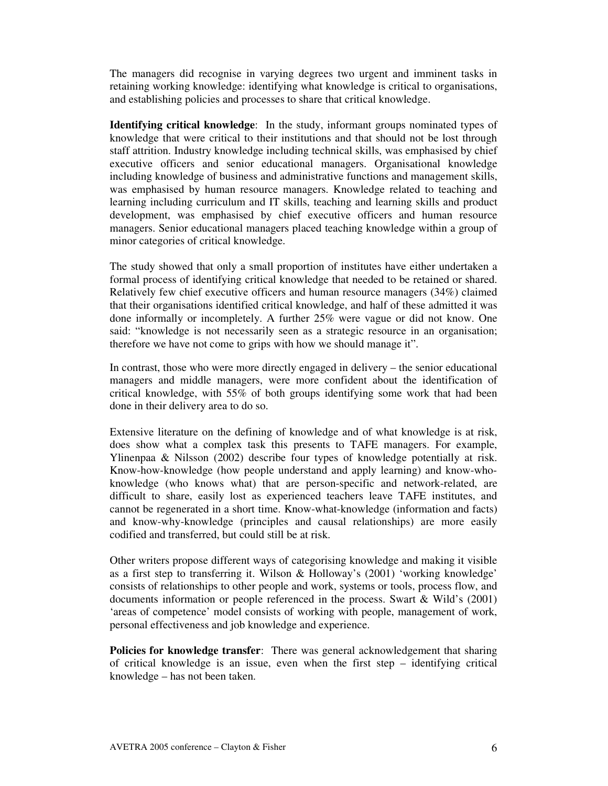The managers did recognise in varying degrees two urgent and imminent tasks in retaining working knowledge: identifying what knowledge is critical to organisations, and establishing policies and processes to share that critical knowledge.

**Identifying critical knowledge**: In the study, informant groups nominated types of knowledge that were critical to their institutions and that should not be lost through staff attrition. Industry knowledge including technical skills, was emphasised by chief executive officers and senior educational managers. Organisational knowledge including knowledge of business and administrative functions and management skills, was emphasised by human resource managers. Knowledge related to teaching and learning including curriculum and IT skills, teaching and learning skills and product development, was emphasised by chief executive officers and human resource managers. Senior educational managers placed teaching knowledge within a group of minor categories of critical knowledge.

The study showed that only a small proportion of institutes have either undertaken a formal process of identifying critical knowledge that needed to be retained or shared. Relatively few chief executive officers and human resource managers (34%) claimed that their organisations identified critical knowledge, and half of these admitted it was done informally or incompletely. A further 25% were vague or did not know. One said: "knowledge is not necessarily seen as a strategic resource in an organisation; therefore we have not come to grips with how we should manage it".

In contrast, those who were more directly engaged in delivery – the senior educational managers and middle managers, were more confident about the identification of critical knowledge, with 55% of both groups identifying some work that had been done in their delivery area to do so.

Extensive literature on the defining of knowledge and of what knowledge is at risk, does show what a complex task this presents to TAFE managers. For example, Ylinenpaa & Nilsson (2002) describe four types of knowledge potentially at risk. Know-how-knowledge (how people understand and apply learning) and know-whoknowledge (who knows what) that are person-specific and network-related, are difficult to share, easily lost as experienced teachers leave TAFE institutes, and cannot be regenerated in a short time. Know-what-knowledge (information and facts) and know-why-knowledge (principles and causal relationships) are more easily codified and transferred, but could still be at risk.

Other writers propose different ways of categorising knowledge and making it visible as a first step to transferring it. Wilson & Holloway's (2001) 'working knowledge' consists of relationships to other people and work, systems or tools, process flow, and documents information or people referenced in the process. Swart & Wild's (2001) 'areas of competence' model consists of working with people, management of work, personal effectiveness and job knowledge and experience.

**Policies for knowledge transfer**: There was general acknowledgement that sharing of critical knowledge is an issue, even when the first step – identifying critical knowledge – has not been taken.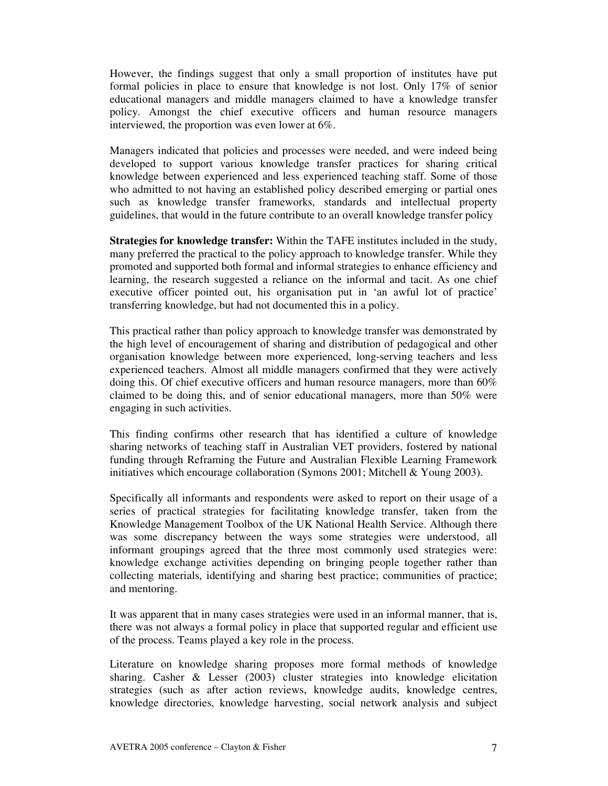However, the findings suggest that only a small proportion of institutes have put formal policies in place to ensure that knowledge is not lost. Only 17% of senior educational managers and middle managers claimed to have a knowledge transfer policy. Amongst the chief executive officers and human resource managers interviewed, the proportion was even lower at 6%.

Managers indicated that policies and processes were needed, and were indeed being developed to support various knowledge transfer practices for sharing critical knowledge between experienced and less experienced teaching staff. Some of those who admitted to not having an established policy described emerging or partial ones such as knowledge transfer frameworks, standards and intellectual property guidelines, that would in the future contribute to an overall knowledge transfer policy

**Strategies for knowledge transfer:** Within the TAFE institutes included in the study, many preferred the practical to the policy approach to knowledge transfer. While they promoted and supported both formal and informal strategies to enhance efficiency and learning, the research suggested a reliance on the informal and tacit. As one chief executive officer pointed out, his organisation put in 'an awful lot of practice' transferring knowledge, but had not documented this in a policy.

This practical rather than policy approach to knowledge transfer was demonstrated by the high level of encouragement of sharing and distribution of pedagogical and other organisation knowledge between more experienced, long-serving teachers and less experienced teachers. Almost all middle managers confirmed that they were actively doing this. Of chief executive officers and human resource managers, more than 60% claimed to be doing this, and of senior educational managers, more than 50% were engaging in such activities.

This finding confirms other research that has identified a culture of knowledge sharing networks of teaching staff in Australian VET providers, fostered by national funding through Reframing the Future and Australian Flexible Learning Framework initiatives which encourage collaboration (Symons 2001; Mitchell & Young 2003).

Specifically all informants and respondents were asked to report on their usage of a series of practical strategies for facilitating knowledge transfer, taken from the Knowledge Management Toolbox of the UK National Health Service. Although there was some discrepancy between the ways some strategies were understood, all informant groupings agreed that the three most commonly used strategies were: knowledge exchange activities depending on bringing people together rather than collecting materials, identifying and sharing best practice; communities of practice; and mentoring.

It was apparent that in many cases strategies were used in an informal manner, that is, there was not always a formal policy in place that supported regular and efficient use of the process. Teams played a key role in the process.

Literature on knowledge sharing proposes more formal methods of knowledge sharing. Casher & Lesser (2003) cluster strategies into knowledge elicitation strategies (such as after action reviews, knowledge audits, knowledge centres, knowledge directories, knowledge harvesting, social network analysis and subject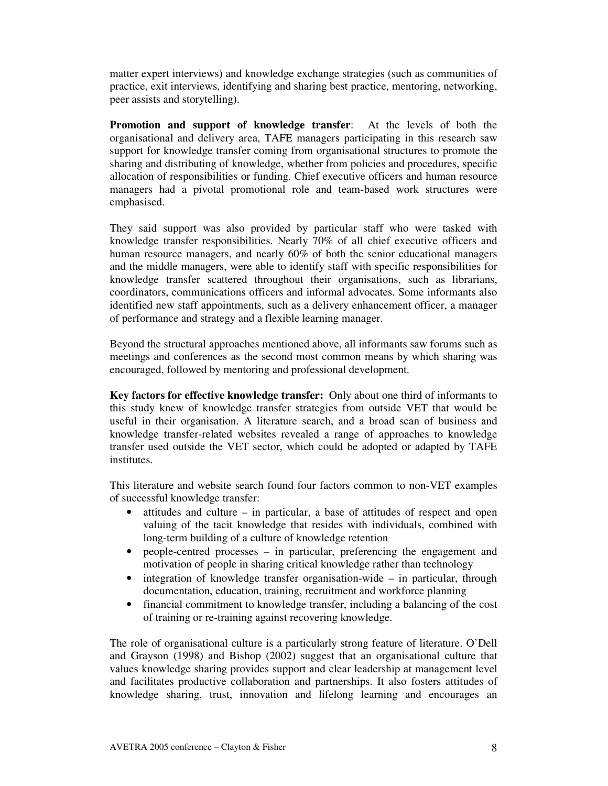matter expert interviews) and knowledge exchange strategies (such as communities of practice, exit interviews, identifying and sharing best practice, mentoring, networking, peer assists and storytelling).

**Promotion and support of knowledge transfer**: At the levels of both the organisational and delivery area, TAFE managers participating in this research saw support for knowledge transfer coming from organisational structures to promote the sharing and distributing of knowledge, whether from policies and procedures, specific allocation of responsibilities or funding. Chief executive officers and human resource managers had a pivotal promotional role and team-based work structures were emphasised.

They said support was also provided by particular staff who were tasked with knowledge transfer responsibilities. Nearly 70% of all chief executive officers and human resource managers, and nearly 60% of both the senior educational managers and the middle managers, were able to identify staff with specific responsibilities for knowledge transfer scattered throughout their organisations, such as librarians, coordinators, communications officers and informal advocates. Some informants also identified new staff appointments, such as a delivery enhancement officer, a manager of performance and strategy and a flexible learning manager.

Beyond the structural approaches mentioned above, all informants saw forums such as meetings and conferences as the second most common means by which sharing was encouraged, followed by mentoring and professional development.

**Key factors for effective knowledge transfer:** Only about one third of informants to this study knew of knowledge transfer strategies from outside VET that would be useful in their organisation. A literature search, and a broad scan of business and knowledge transfer-related websites revealed a range of approaches to knowledge transfer used outside the VET sector, which could be adopted or adapted by TAFE institutes.

This literature and website search found four factors common to non-VET examples of successful knowledge transfer:

- attitudes and culture  $-$  in particular, a base of attitudes of respect and open valuing of the tacit knowledge that resides with individuals, combined with long-term building of a culture of knowledge retention
- people-centred processes in particular, preferencing the engagement and motivation of people in sharing critical knowledge rather than technology
- integration of knowledge transfer organisation-wide in particular, through documentation, education, training, recruitment and workforce planning
- financial commitment to knowledge transfer, including a balancing of the cost of training or re-training against recovering knowledge.

The role of organisational culture is a particularly strong feature of literature. O'Dell and Grayson (1998) and Bishop (2002) suggest that an organisational culture that values knowledge sharing provides support and clear leadership at management level and facilitates productive collaboration and partnerships. It also fosters attitudes of knowledge sharing, trust, innovation and lifelong learning and encourages an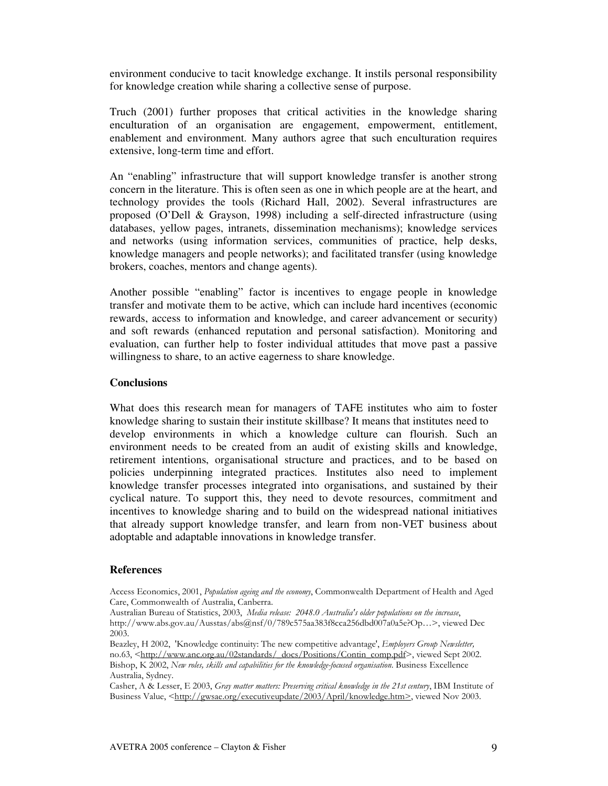environment conducive to tacit knowledge exchange. It instils personal responsibility for knowledge creation while sharing a collective sense of purpose.

Truch (2001) further proposes that critical activities in the knowledge sharing enculturation of an organisation are engagement, empowerment, entitlement, enablement and environment. Many authors agree that such enculturation requires extensive, long-term time and effort.

An "enabling" infrastructure that will support knowledge transfer is another strong concern in the literature. This is often seen as one in which people are at the heart, and technology provides the tools (Richard Hall, 2002). Several infrastructures are proposed (O'Dell & Grayson, 1998) including a self-directed infrastructure (using databases, yellow pages, intranets, dissemination mechanisms); knowledge services and networks (using information services, communities of practice, help desks, knowledge managers and people networks); and facilitated transfer (using knowledge brokers, coaches, mentors and change agents).

Another possible "enabling" factor is incentives to engage people in knowledge transfer and motivate them to be active, which can include hard incentives (economic rewards, access to information and knowledge, and career advancement or security) and soft rewards (enhanced reputation and personal satisfaction). Monitoring and evaluation, can further help to foster individual attitudes that move past a passive willingness to share, to an active eagerness to share knowledge.

#### **Conclusions**

What does this research mean for managers of TAFE institutes who aim to foster knowledge sharing to sustain their institute skillbase? It means that institutes need to develop environments in which a knowledge culture can flourish. Such an environment needs to be created from an audit of existing skills and knowledge, retirement intentions, organisational structure and practices, and to be based on policies underpinning integrated practices. Institutes also need to implement knowledge transfer processes integrated into organisations, and sustained by their cyclical nature. To support this, they need to devote resources, commitment and incentives to knowledge sharing and to build on the widespread national initiatives that already support knowledge transfer, and learn from non-VET business about adoptable and adaptable innovations in knowledge transfer.

#### **References**

Access Economics, 2001, Population ageing and the economy, Commonwealth Department of Health and Aged Care, Commonwealth of Australia, Canberra.

Australian Bureau of Statistics, 2003, *Media release: 2048.0 Australia's older populations on the increase*, http://www.abs.gov.au/Ausstas/abs@nsf/0/789c575aa383f8cca256dbd007a0a5e?Op...>, viewed Dec 2003.

Beazley, H 2002, 'Knowledge continuity: The new competitive advantage', Employers Group Newsletter, no.63, <http://www.anc.org.au/02standards/ docs/Positions/Contin comp.pdf>, viewed Sept 2002. Bishop, K 2002, New roles, skills and capabilities for the knowledge-focused organisation. Business Excellence Australia, Sydney.

Casher, A & Lesser, E 2003, Gray matter matters: Preserving critical knowledge in the 21st century, IBM Institute of Business Value, <http://gwsae.org/executiveupdate/2003/April/knowledge.htm>, viewed Nov 2003.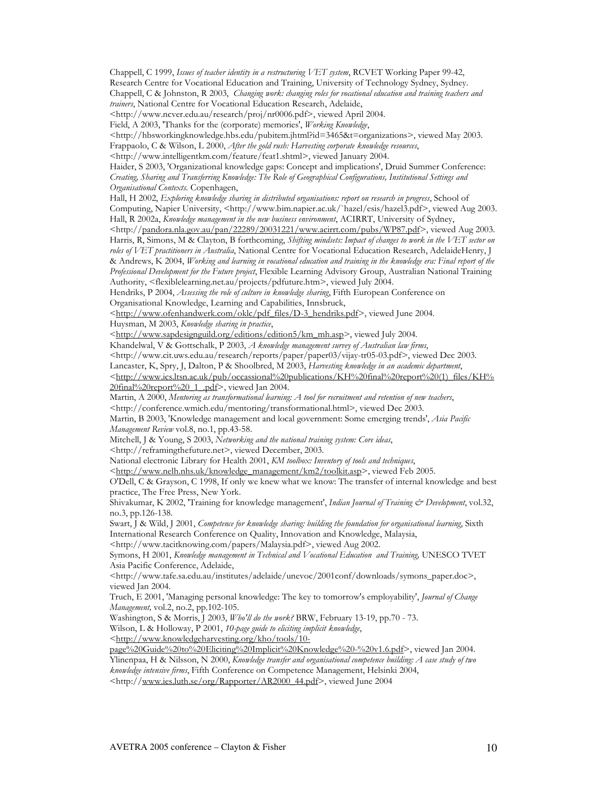Chappell, C 1999, Issues of teacher identity in a restructuring VET system, RCVET Working Paper 99-42, Research Centre for Vocational Education and Training, University of Technology Sydney, Sydney. Chappell, C & Johnston, R 2003, Changing work: changing roles for vocational education and training teachers and trainers, National Centre for Vocational Education Research, Adelaide,

<http://www.ncver.edu.au/research/proj/nr0006.pdf>, viewed April 2004.

Field, A 2003, 'Thanks for the (corporate) memories', Working Knowledge,

<http://hbsworkingknowledge.hbs.edu/pubitem.jhtml?id=3465&t=organizations>, viewed May 2003. Frappaolo, C & Wilson, L 2000, After the gold rush: Harvesting corporate knowledge resources,

<http://www.intelligentkm.com/feature/feat1.shtml>, viewed January 2004.

Haider, S 2003, 'Organizational knowledge gaps: Concept and implications', Druid Summer Conference: Creating, Sharing and Transferring Knowledge: The Role of Geographical Configurations, Institutional Settings and Organisational Contexts. Copenhagen,

Hall, H 2002, Exploring knowledge sharing in distributed organisations: report on research in progress, School of Computing, Napier University, <http://www.bim.napier.ac.uk/`hazel/esis/hazel3.pdf>, viewed Aug 2003. Hall, R 2002a, Knowledge management in the new business environment, ACIRRT, University of Sydney,

<http://pandora.nla.gov.au/pan/22289/20031221/www.acirrt.com/pubs/WP87.pdf>, viewed Aug 2003. Harris, R, Simons, M & Clayton, B forthcoming, Shifting mindsets: Impact of changes to work in the VET sector on roles of VET practitioners in Australia, National Centre for Vocational Education Research, AdelaideHenry, J & Andrews, K 2004, Working and learning in vocational education and training in the knowledge era: Final report of the Professional Development for the Future project, Flexible Learning Advisory Group, Australian National Training Authority, <flexiblelearning.net.au/projects/pdfuture.htm>, viewed July 2004.

Hendriks, P 2004, Assessing the role of culture in knowledge sharing, Fifth European Conference on Organisational Knowledge, Learning and Capabilities, Innsbruck,

<http://www.ofenhandwerk.com/oklc/pdf\_files/D-3\_hendriks.pdf>, viewed June 2004.

Huysman, M 2003, Knowledge sharing in practice,

<http://www.sapdesignguild.org/editions/edition5/km mh.asp>, viewed July 2004.

Khandelwal, V & Gottschalk, P 2003, A knowledge management survey of Australian law firms,

<http://www.cit.uws.edu.au/research/reports/paper/paper03/vijay-tr05-03.pdf>, viewed Dec 2003.

Lancaster, K, Spry, J, Dalton, P & Shoolbred, M 2003, Harvesting knowledge in an academic department,

<http://www.ics.ltsn.ac.uk/pub/occassional%20publications/KH%20final%20report%20(1) files/KH% 20final%20report%20\_1\_pdf>, viewed Jan 2004.

Martin, A 2000, Mentoring as transformational learning: A tool for recruitment and retention of new teachers, <http://conference.wmich.edu/mentoring/transformational.html>, viewed Dec 2003.

Martin, B 2003, 'Knowledge management and local government: Some emerging trends', Asia Pacific Management Review vol.8, no.1, pp.43-58.

Mitchell, J & Young, S 2003, Networking and the national training system: Core ideas,

<http://reframingthefuture.net>, viewed December, 2003.

National electronic Library for Health 2001, KM toolbox: Inventory of tools and techniques,

 $\langle \frac{\text{http://www.nelh.nhs.uk/knowledge}_{\text{www.nelh.nhs.uk/knowledge}_{\text{two}}}{\text{www.nelh.nhs.uk/knowledge}_{\text{two}}}\rangle$  and  $\langle \frac{\text{http://www.nelh.nhs.uk/knowledge}_{\text{two}}}{\text{www.nelh.nhs.uk/knowledge}_{\text{two}}}\rangle$ 

O'Dell, C & Grayson, C 1998, If only we knew what we know: The transfer of internal knowledge and best practice, The Free Press, New York.

Shivakumar, K 2002, 'Training for knowledge management', Indian Journal of Training & Development, vol.32, no.3, pp.126-138.

Swart, J & Wild, J 2001, Competence for knowledge sharing: building the foundation for organisational learning, Sixth International Research Conference on Quality, Innovation and Knowledge, Malaysia,

<http://www.tacitknowing.com/papers/Malaysia.pdf>, viewed Aug 2002.

Symons, H 2001, Knowledge management in Technical and Vocational Education and Training, UNESCO TVET Asia Pacific Conference, Adelaide,

<http://www.tafe.sa.edu.au/institutes/adelaide/unevoc/2001conf/downloads/symons\_paper.doc>, viewed Jan 2004.

Truch, E 2001, 'Managing personal knowledge: The key to tomorrow's employability', *Journal of Change* Management, vol.2, no.2, pp.102-105.

Washington, S & Morris, J 2003, Who'll do the work? BRW, February 13-19, pp.70 - 73.

Wilson, L & Holloway, P 2001, 10-page guide to eliciting implicit knowledge,

<http://www.knowledgeharvesting.org/kho/tools/10-

page%20Guide%20to%20Eliciting%20Implicit%20Knowledge%20-%20v1.6.pdf>, viewed Jan 2004. Ylinenpaa, H & Nilsson, N 2000, Knowledge transfer and organisational competence building: A case study of two knowledge intensive firms, Fifth Conference on Competence Management, Helsinki 2004,

<http://www.ies.luth.se/org/Rapporter/AR2000 44.pdf>, viewed June 2004